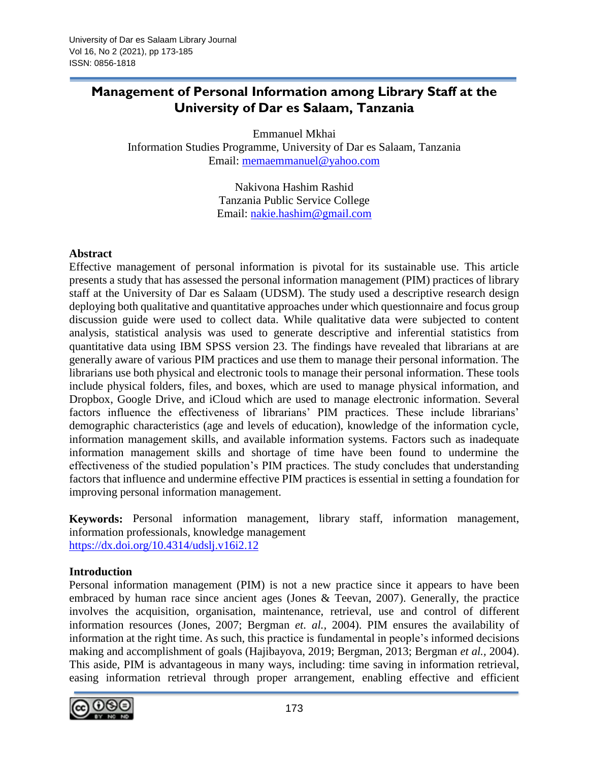## **Management of Personal Information among Library Staff at the University of Dar es Salaam, Tanzania**

Emmanuel Mkhai Information Studies Programme, University of Dar es Salaam, Tanzania Email: [memaemmanuel@yahoo.com](mailto:memaemmanuel@yahoo.com)

> Nakivona Hashim Rashid Tanzania Public Service College Email: [nakie.hashim@gmail.com](mailto:nakie.hashim@gmail.com)

### **Abstract**

Effective management of personal information is pivotal for its sustainable use. This article presents a study that has assessed the personal information management (PIM) practices of library staff at the University of Dar es Salaam (UDSM). The study used a descriptive research design deploying both qualitative and quantitative approaches under which questionnaire and focus group discussion guide were used to collect data. While qualitative data were subjected to content analysis, statistical analysis was used to generate descriptive and inferential statistics from quantitative data using IBM SPSS version 23. The findings have revealed that librarians at are generally aware of various PIM practices and use them to manage their personal information. The librarians use both physical and electronic tools to manage their personal information. These tools include physical folders, files, and boxes, which are used to manage physical information, and Dropbox, Google Drive, and iCloud which are used to manage electronic information. Several factors influence the effectiveness of librarians' PIM practices. These include librarians' demographic characteristics (age and levels of education), knowledge of the information cycle, information management skills, and available information systems. Factors such as inadequate information management skills and shortage of time have been found to undermine the effectiveness of the studied population's PIM practices. The study concludes that understanding factors that influence and undermine effective PIM practices is essential in setting a foundation for improving personal information management.

**Keywords:** Personal information management, library staff, information management, information professionals, knowledge management <https://dx.doi.org/10.4314/udslj.v16i2.12>

#### **Introduction**

Personal information management (PIM) is not a new practice since it appears to have been embraced by human race since ancient ages (Jones & Teevan, 2007). Generally, the practice involves the acquisition, organisation, maintenance, retrieval, use and control of different information resources (Jones, 2007; Bergman *et. al.,* 2004). PIM ensures the availability of information at the right time. As such, this practice is fundamental in people's informed decisions making and accomplishment of goals (Hajibayova, 2019; Bergman, 2013; Bergman *et al.,* 2004). This aside, PIM is advantageous in many ways, including: time saving in information retrieval, easing information retrieval through proper arrangement, enabling effective and efficient

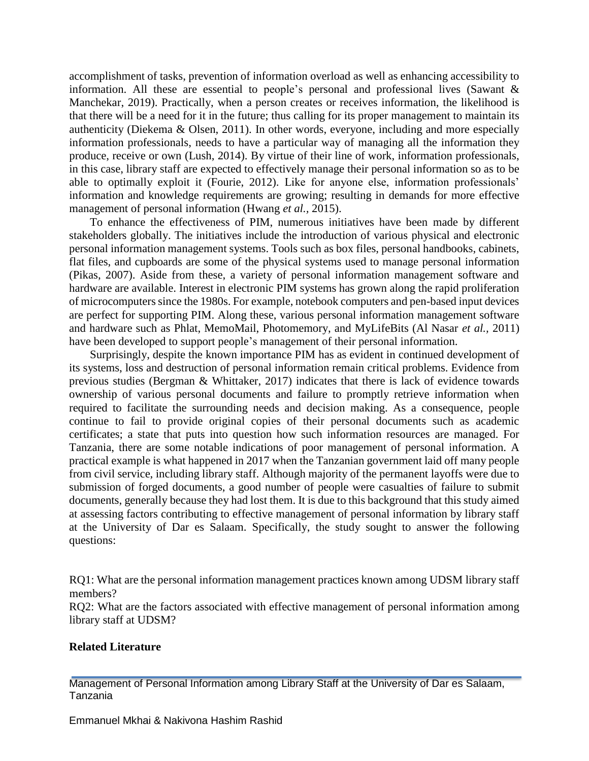accomplishment of tasks, prevention of information overload as well as enhancing accessibility to information. All these are essential to people's personal and professional lives (Sawant & Manchekar, 2019). Practically, when a person creates or receives information, the likelihood is that there will be a need for it in the future; thus calling for its proper management to maintain its authenticity (Diekema & Olsen, 2011). In other words, everyone, including and more especially information professionals, needs to have a particular way of managing all the information they produce, receive or own (Lush, 2014). By virtue of their line of work, information professionals, in this case, library staff are expected to effectively manage their personal information so as to be able to optimally exploit it (Fourie, 2012). Like for anyone else, information professionals' information and knowledge requirements are growing; resulting in demands for more effective management of personal information (Hwang *et al.,* 2015).

To enhance the effectiveness of PIM, numerous initiatives have been made by different stakeholders globally. The initiatives include the introduction of various physical and electronic personal information management systems. Tools such as box files, personal handbooks, cabinets, flat files, and cupboards are some of the physical systems used to manage personal information (Pikas, 2007). Aside from these, a variety of personal information management software and hardware are available. Interest in electronic PIM systems has grown along the rapid proliferation of microcomputers since the 1980s. For example, notebook computers and pen-based input devices are perfect for supporting PIM. Along these, various personal information management software and hardware such as Phlat, MemoMail, Photomemory, and MyLifeBits (Al Nasar *et al.,* 2011) have been developed to support people's management of their personal information.

Surprisingly, despite the known importance PIM has as evident in continued development of its systems, loss and destruction of personal information remain critical problems. Evidence from previous studies (Bergman & Whittaker, 2017) indicates that there is lack of evidence towards ownership of various personal documents and failure to promptly retrieve information when required to facilitate the surrounding needs and decision making. As a consequence, people continue to fail to provide original copies of their personal documents such as academic certificates; a state that puts into question how such information resources are managed. For Tanzania, there are some notable indications of poor management of personal information. A practical example is what happened in 2017 when the Tanzanian government laid off many people from civil service, including library staff. Although majority of the permanent layoffs were due to submission of forged documents, a good number of people were casualties of failure to submit documents, generally because they had lost them. It is due to this background that this study aimed at assessing factors contributing to effective management of personal information by library staff at the University of Dar es Salaam. Specifically, the study sought to answer the following questions:

RQ1: What are the personal information management practices known among UDSM library staff members?

RQ2: What are the factors associated with effective management of personal information among library staff at UDSM?

#### **Related Literature**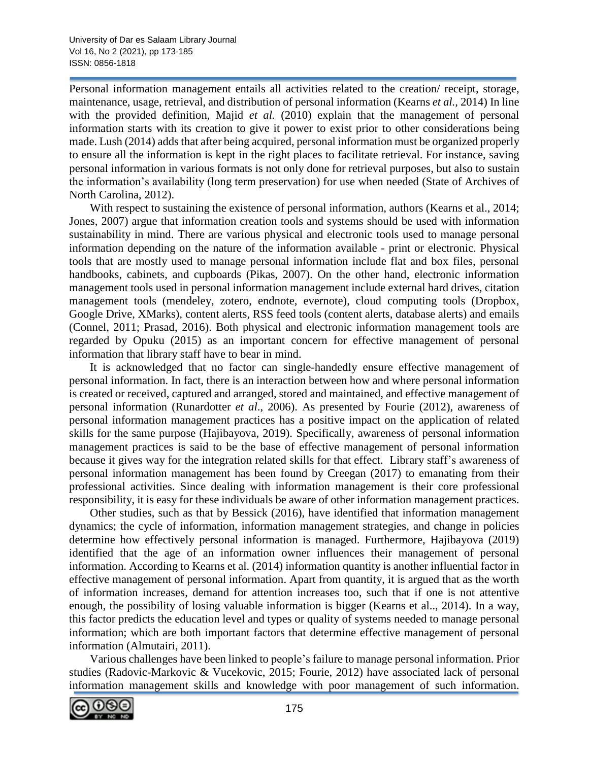Personal information management entails all activities related to the creation/ receipt, storage, maintenance, usage, retrieval, and distribution of personal information (Kearns *et al.,* 2014) In line with the provided definition, Majid *et al.* (2010) explain that the management of personal information starts with its creation to give it power to exist prior to other considerations being made. Lush (2014) adds that after being acquired, personal information must be organized properly to ensure all the information is kept in the right places to facilitate retrieval. For instance, saving personal information in various formats is not only done for retrieval purposes, but also to sustain the information's availability (long term preservation) for use when needed (State of Archives of North Carolina, 2012).

With respect to sustaining the existence of personal information, authors (Kearns et al., 2014; Jones, 2007) argue that information creation tools and systems should be used with information sustainability in mind. There are various physical and electronic tools used to manage personal information depending on the nature of the information available - print or electronic. Physical tools that are mostly used to manage personal information include flat and box files, personal handbooks, cabinets, and cupboards (Pikas, 2007). On the other hand, electronic information management tools used in personal information management include external hard drives, citation management tools (mendeley, zotero, endnote, evernote), cloud computing tools (Dropbox, Google Drive, XMarks), content alerts, RSS feed tools (content alerts, database alerts) and emails (Connel, 2011; Prasad, 2016). Both physical and electronic information management tools are regarded by Opuku (2015) as an important concern for effective management of personal information that library staff have to bear in mind.

It is acknowledged that no factor can single-handedly ensure effective management of personal information. In fact, there is an interaction between how and where personal information is created or received, captured and arranged, stored and maintained, and effective management of personal information (Runardotter *et al*., 2006). As presented by Fourie (2012), awareness of personal information management practices has a positive impact on the application of related skills for the same purpose (Hajibayova, 2019). Specifically, awareness of personal information management practices is said to be the base of effective management of personal information because it gives way for the integration related skills for that effect. Library staff's awareness of personal information management has been found by Creegan (2017) to emanating from their professional activities. Since dealing with information management is their core professional responsibility, it is easy for these individuals be aware of other information management practices.

Other studies, such as that by Bessick (2016), have identified that information management dynamics; the cycle of information, information management strategies, and change in policies determine how effectively personal information is managed. Furthermore, Hajibayova (2019) identified that the age of an information owner influences their management of personal information. According to Kearns et al. (2014) information quantity is another influential factor in effective management of personal information. Apart from quantity, it is argued that as the worth of information increases, demand for attention increases too, such that if one is not attentive enough, the possibility of losing valuable information is bigger (Kearns et al.., 2014). In a way, this factor predicts the education level and types or quality of systems needed to manage personal information; which are both important factors that determine effective management of personal information (Almutairi, 2011).

Various challenges have been linked to people's failure to manage personal information. Prior studies (Radovic-Markovic & Vucekovic, 2015; Fourie, 2012) have associated lack of personal information management skills and knowledge with poor management of such information.

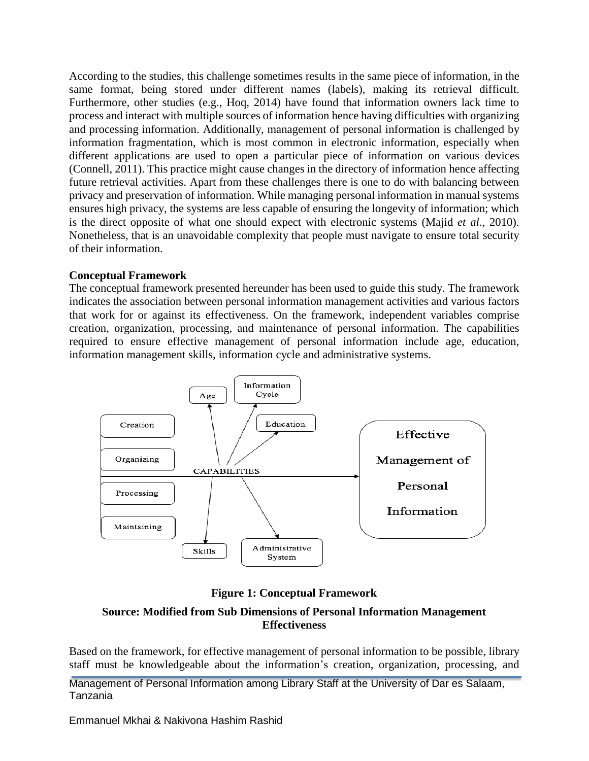According to the studies, this challenge sometimes results in the same piece of information, in the same format, being stored under different names (labels), making its retrieval difficult. Furthermore, other studies (e.g., Hoq, 2014) have found that information owners lack time to process and interact with multiple sources of information hence having difficulties with organizing and processing information. Additionally, management of personal information is challenged by information fragmentation, which is most common in electronic information, especially when different applications are used to open a particular piece of information on various devices (Connell, 2011). This practice might cause changes in the directory of information hence affecting future retrieval activities. Apart from these challenges there is one to do with balancing between privacy and preservation of information. While managing personal information in manual systems ensures high privacy, the systems are less capable of ensuring the longevity of information; which is the direct opposite of what one should expect with electronic systems (Majid *et al*., 2010). Nonetheless, that is an unavoidable complexity that people must navigate to ensure total security of their information.

## **Conceptual Framework**

The conceptual framework presented hereunder has been used to guide this study. The framework indicates the association between personal information management activities and various factors that work for or against its effectiveness. On the framework, independent variables comprise creation, organization, processing, and maintenance of personal information. The capabilities required to ensure effective management of personal information include age, education, information management skills, information cycle and administrative systems.



**Figure 1: Conceptual Framework**

## **Source: Modified from Sub Dimensions of Personal Information Management Effectiveness**

Based on the framework, for effective management of personal information to be possible, library staff must be knowledgeable about the information's creation, organization, processing, and

Management of Personal Information among Library Staff at the University of Dar es Salaam, Tanzania

Emmanuel Mkhai & Nakivona Hashim Rashid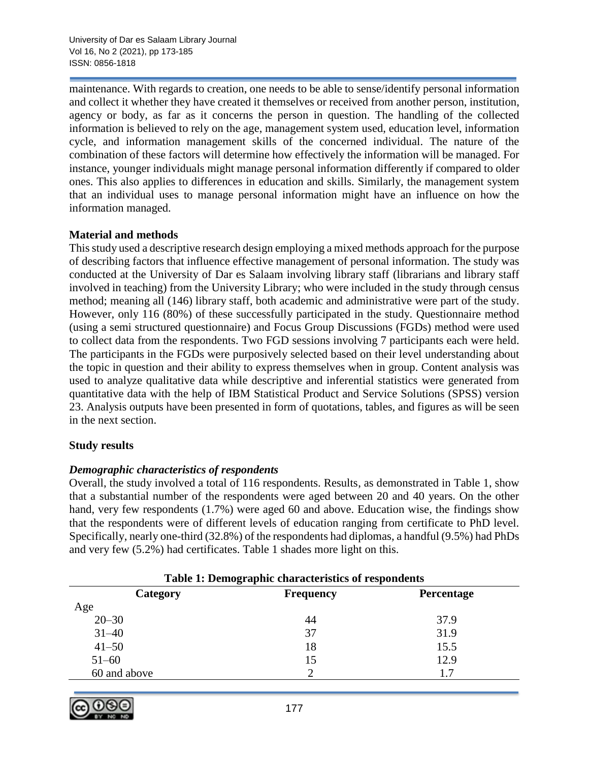maintenance. With regards to creation, one needs to be able to sense/identify personal information and collect it whether they have created it themselves or received from another person, institution, agency or body, as far as it concerns the person in question. The handling of the collected information is believed to rely on the age, management system used, education level, information cycle, and information management skills of the concerned individual. The nature of the combination of these factors will determine how effectively the information will be managed. For instance, younger individuals might manage personal information differently if compared to older ones. This also applies to differences in education and skills. Similarly, the management system that an individual uses to manage personal information might have an influence on how the information managed.

## **Material and methods**

This study used a descriptive research design employing a mixed methods approach for the purpose of describing factors that influence effective management of personal information. The study was conducted at the University of Dar es Salaam involving library staff (librarians and library staff involved in teaching) from the University Library; who were included in the study through census method; meaning all (146) library staff, both academic and administrative were part of the study. However, only 116 (80%) of these successfully participated in the study. Questionnaire method (using a semi structured questionnaire) and Focus Group Discussions (FGDs) method were used to collect data from the respondents. Two FGD sessions involving 7 participants each were held. The participants in the FGDs were purposively selected based on their level understanding about the topic in question and their ability to express themselves when in group. Content analysis was used to analyze qualitative data while descriptive and inferential statistics were generated from quantitative data with the help of IBM Statistical Product and Service Solutions (SPSS) version 23. Analysis outputs have been presented in form of quotations, tables, and figures as will be seen in the next section.

## **Study results**

## *Demographic characteristics of respondents*

Overall, the study involved a total of 116 respondents. Results, as demonstrated in Table 1, show that a substantial number of the respondents were aged between 20 and 40 years. On the other hand, very few respondents (1.7%) were aged 60 and above. Education wise, the findings show that the respondents were of different levels of education ranging from certificate to PhD level. Specifically, nearly one-third (32.8%) of the respondents had diplomas, a handful (9.5%) had PhDs and very few (5.2%) had certificates. Table 1 shades more light on this.

| Table 1: Demographic characteristics of respondents |                   |  |  |  |
|-----------------------------------------------------|-------------------|--|--|--|
| <b>Frequency</b>                                    | <b>Percentage</b> |  |  |  |
|                                                     |                   |  |  |  |
| 44                                                  | 37.9              |  |  |  |
| 37                                                  | 31.9              |  |  |  |
| 18                                                  | 15.5              |  |  |  |
| 15                                                  | 12.9              |  |  |  |
|                                                     | 1.7               |  |  |  |
|                                                     |                   |  |  |  |

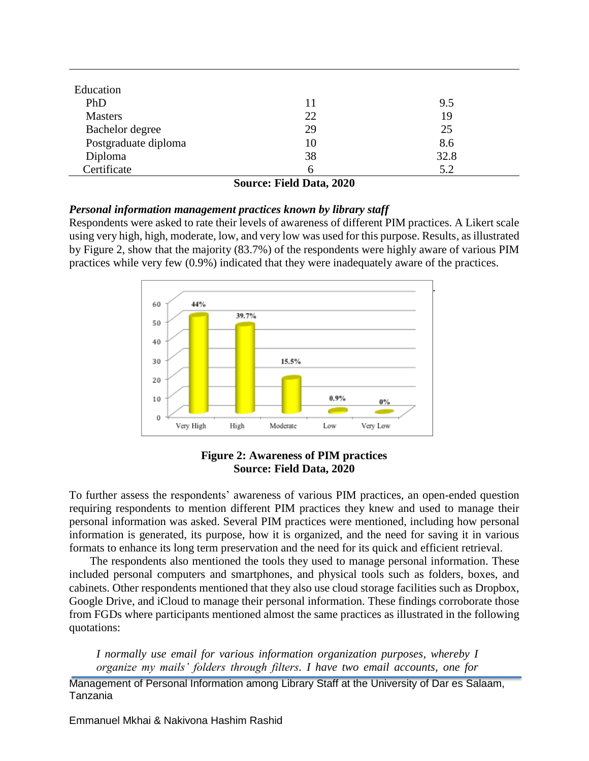| Education            |    |      |
|----------------------|----|------|
| PhD                  | 11 | 9.5  |
| <b>Masters</b>       | 22 | 19   |
| Bachelor degree      | 29 | 25   |
| Postgraduate diploma | 10 | 8.6  |
| Diploma              | 38 | 32.8 |
| Certificate          | 6  | 5.2  |

**Source: Field Data, 2020**

#### *Personal information management practices known by library staff*

Respondents were asked to rate their levels of awareness of different PIM practices. A Likert scale using very high, high, moderate, low, and very low was used for this purpose. Results, as illustrated by Figure 2, show that the majority (83.7%) of the respondents were highly aware of various PIM practices while very few (0.9%) indicated that they were inadequately aware of the practices.



#### **Figure 2: Awareness of PIM practices Source: Field Data, 2020**

To further assess the respondents' awareness of various PIM practices, an open-ended question requiring respondents to mention different PIM practices they knew and used to manage their personal information was asked. Several PIM practices were mentioned, including how personal information is generated, its purpose, how it is organized, and the need for saving it in various formats to enhance its long term preservation and the need for its quick and efficient retrieval.

The respondents also mentioned the tools they used to manage personal information. These included personal computers and smartphones, and physical tools such as folders, boxes, and cabinets. Other respondents mentioned that they also use cloud storage facilities such as Dropbox, Google Drive, and iCloud to manage their personal information. These findings corroborate those from FGDs where participants mentioned almost the same practices as illustrated in the following quotations:

*I normally use email for various information organization purposes, whereby I organize my mails' folders through filters. I have two email accounts, one for*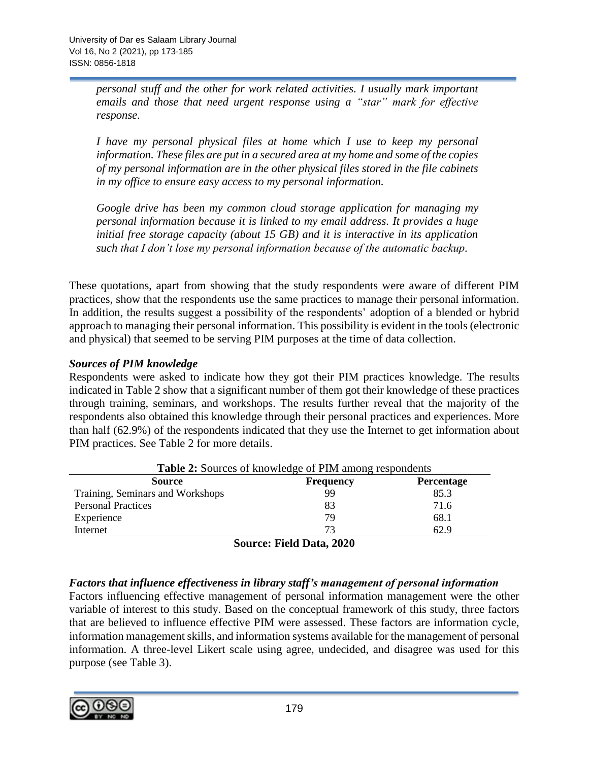*personal stuff and the other for work related activities. I usually mark important emails and those that need urgent response using a "star" mark for effective response.*

*I have my personal physical files at home which I use to keep my personal information. These files are put in a secured area at my home and some of the copies of my personal information are in the other physical files stored in the file cabinets in my office to ensure easy access to my personal information.*

*Google drive has been my common cloud storage application for managing my personal information because it is linked to my email address. It provides a huge initial free storage capacity (about 15 GB) and it is interactive in its application such that I don't lose my personal information because of the automatic backup.*

These quotations, apart from showing that the study respondents were aware of different PIM practices, show that the respondents use the same practices to manage their personal information. In addition, the results suggest a possibility of the respondents' adoption of a blended or hybrid approach to managing their personal information. This possibility is evident in the tools (electronic and physical) that seemed to be serving PIM purposes at the time of data collection.

## *Sources of PIM knowledge*

Respondents were asked to indicate how they got their PIM practices knowledge. The results indicated in Table 2 show that a significant number of them got their knowledge of these practices through training, seminars, and workshops. The results further reveal that the majority of the respondents also obtained this knowledge through their personal practices and experiences. More than half (62.9%) of the respondents indicated that they use the Internet to get information about PIM practices. See Table 2 for more details.

| <b>Table 2:</b> Sources of knowledge of PIM among respondents |                  |                   |  |  |
|---------------------------------------------------------------|------------------|-------------------|--|--|
| <b>Source</b>                                                 | <b>Frequency</b> | <b>Percentage</b> |  |  |
| Training, Seminars and Workshops                              | 99               | 85.3              |  |  |
| <b>Personal Practices</b>                                     | 83               | 71.6              |  |  |
| Experience                                                    | 79               | 68.1              |  |  |
| Internet                                                      | 73               | 62.9              |  |  |

**Source: Field Data, 2020**

## *Factors that influence effectiveness in library staff's management of personal information*

Factors influencing effective management of personal information management were the other variable of interest to this study. Based on the conceptual framework of this study, three factors that are believed to influence effective PIM were assessed. These factors are information cycle, information management skills, and information systems available for the management of personal information. A three-level Likert scale using agree, undecided, and disagree was used for this purpose (see Table 3).

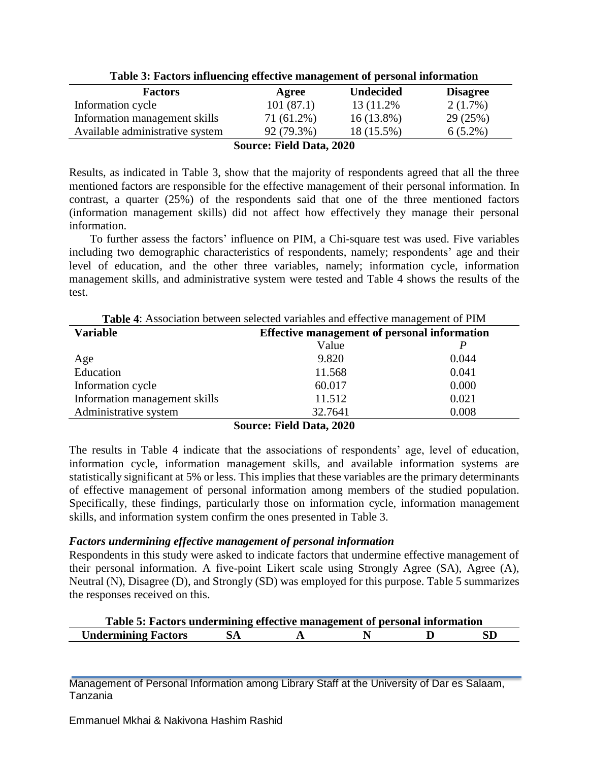| Tuble of I actord minutenting thech to management of perbonal mitrimation |            |                  |                 |  |  |
|---------------------------------------------------------------------------|------------|------------------|-----------------|--|--|
| <b>Factors</b>                                                            | Agree      | <b>Undecided</b> | <b>Disagree</b> |  |  |
| Information cycle                                                         | 101(87.1)  | 13 (11.2%)       | $2(1.7\%)$      |  |  |
| Information management skills                                             | 71 (61.2%) | $16(13.8\%)$     | 29(25%)         |  |  |
| Available administrative system                                           | 92 (79.3%) | 18 (15.5%)       | $6(5.2\%)$      |  |  |
| <b>Source: Field Data, 2020</b>                                           |            |                  |                 |  |  |

**Table 3: Factors influencing effective management of personal information**

Results, as indicated in Table 3, show that the majority of respondents agreed that all the three mentioned factors are responsible for the effective management of their personal information. In contrast, a quarter (25%) of the respondents said that one of the three mentioned factors (information management skills) did not affect how effectively they manage their personal information.

To further assess the factors' influence on PIM, a Chi-square test was used. Five variables including two demographic characteristics of respondents, namely; respondents' age and their level of education, and the other three variables, namely; information cycle, information management skills, and administrative system were tested and Table 4 shows the results of the test.

| <b>Table 4:</b> Association between selected variables and effective management of PIM |                                                     |       |  |  |
|----------------------------------------------------------------------------------------|-----------------------------------------------------|-------|--|--|
| <b>Variable</b>                                                                        | <b>Effective management of personal information</b> |       |  |  |
|                                                                                        | Value                                               |       |  |  |
| Age                                                                                    | 9.820                                               | 0.044 |  |  |
| Education                                                                              | 11.568                                              | 0.041 |  |  |
| Information cycle                                                                      | 60.017                                              | 0.000 |  |  |
| Information management skills                                                          | 11.512                                              | 0.021 |  |  |
| Administrative system                                                                  | 32.7641                                             | 0.008 |  |  |
|                                                                                        |                                                     |       |  |  |

# **Source: Field Data, 2020**

The results in Table 4 indicate that the associations of respondents' age, level of education, information cycle, information management skills, and available information systems are statistically significant at 5% or less. This implies that these variables are the primary determinants of effective management of personal information among members of the studied population. Specifically, these findings, particularly those on information cycle, information management skills, and information system confirm the ones presented in Table 3.

## *Factors undermining effective management of personal information*

Respondents in this study were asked to indicate factors that undermine effective management of their personal information. A five-point Likert scale using Strongly Agree (SA), Agree (A), Neutral (N), Disagree (D), and Strongly (SD) was employed for this purpose. Table 5 summarizes the responses received on this.

| Table 5: Factors undermining effective management of personal information |  |  |  |  |    |
|---------------------------------------------------------------------------|--|--|--|--|----|
| <b>Undermining Factors</b>                                                |  |  |  |  | SD |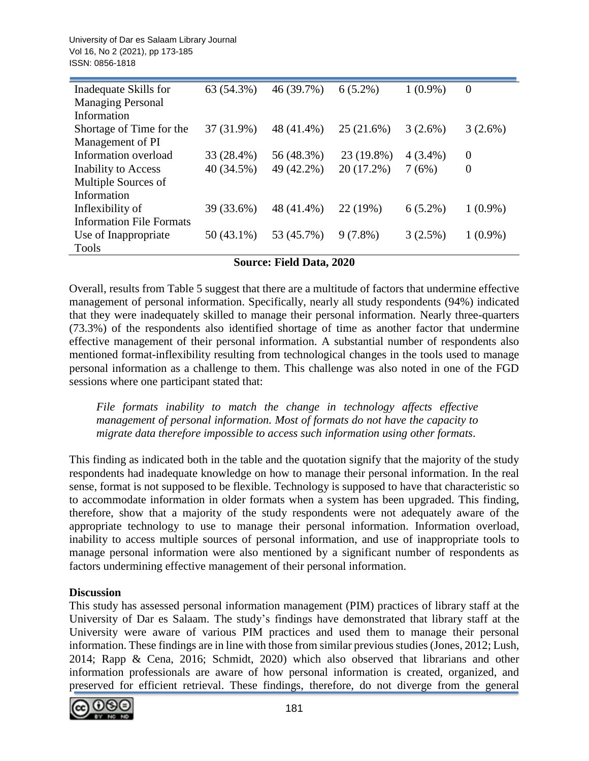University of Dar es Salaam Library Journal Vol 16, No 2 (2021), pp 173-185 ISSN: 0856-1818

| Inadequate Skills for           | 63 (54.3%)   | 46 (39.7%) | $6(5.2\%)$ | $1(0.9\%)$ | $\theta$       |
|---------------------------------|--------------|------------|------------|------------|----------------|
| <b>Managing Personal</b>        |              |            |            |            |                |
| Information                     |              |            |            |            |                |
| Shortage of Time for the        | 37 (31.9%)   | 48 (41.4%) | 25 (21.6%) | 3(2.6%)    | $3(2.6\%)$     |
| Management of PI                |              |            |            |            |                |
| Information overload            | 33 (28.4%)   | 56 (48.3%) | 23 (19.8%) | $4(3.4\%)$ | $\overline{0}$ |
| <b>Inability to Access</b>      | 40 (34.5%)   | 49 (42.2%) | 20 (17.2%) | 7(6%)      | $\overline{0}$ |
| Multiple Sources of             |              |            |            |            |                |
| Information                     |              |            |            |            |                |
| Inflexibility of                | 39 (33.6%)   | 48 (41.4%) | 22 (19%)   | $6(5.2\%)$ | $1(0.9\%)$     |
| <b>Information File Formats</b> |              |            |            |            |                |
| Use of Inappropriate            | $50(43.1\%)$ | 53 (45.7%) | $9(7.8\%)$ | 3(2.5%)    | $1(0.9\%)$     |
| Tools                           |              |            |            |            |                |

#### **Source: Field Data, 2020**

Overall, results from Table 5 suggest that there are a multitude of factors that undermine effective management of personal information. Specifically, nearly all study respondents (94%) indicated that they were inadequately skilled to manage their personal information. Nearly three-quarters (73.3%) of the respondents also identified shortage of time as another factor that undermine effective management of their personal information. A substantial number of respondents also mentioned format-inflexibility resulting from technological changes in the tools used to manage personal information as a challenge to them. This challenge was also noted in one of the FGD sessions where one participant stated that:

*File formats inability to match the change in technology affects effective management of personal information. Most of formats do not have the capacity to migrate data therefore impossible to access such information using other formats*.

This finding as indicated both in the table and the quotation signify that the majority of the study respondents had inadequate knowledge on how to manage their personal information. In the real sense, format is not supposed to be flexible. Technology is supposed to have that characteristic so to accommodate information in older formats when a system has been upgraded. This finding, therefore, show that a majority of the study respondents were not adequately aware of the appropriate technology to use to manage their personal information. Information overload, inability to access multiple sources of personal information, and use of inappropriate tools to manage personal information were also mentioned by a significant number of respondents as factors undermining effective management of their personal information.

#### **Discussion**

This study has assessed personal information management (PIM) practices of library staff at the University of Dar es Salaam. The study's findings have demonstrated that library staff at the University were aware of various PIM practices and used them to manage their personal information. These findings are in line with those from similar previous studies (Jones, 2012; Lush, 2014; Rapp & Cena, 2016; Schmidt, 2020) which also observed that librarians and other information professionals are aware of how personal information is created, organized, and preserved for efficient retrieval. These findings, therefore, do not diverge from the general

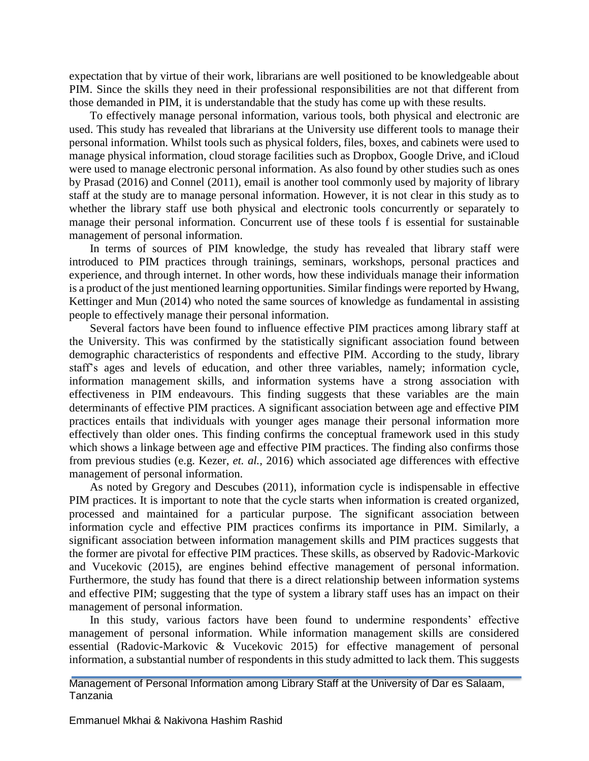expectation that by virtue of their work, librarians are well positioned to be knowledgeable about PIM. Since the skills they need in their professional responsibilities are not that different from those demanded in PIM, it is understandable that the study has come up with these results.

To effectively manage personal information, various tools, both physical and electronic are used. This study has revealed that librarians at the University use different tools to manage their personal information. Whilst tools such as physical folders, files, boxes, and cabinets were used to manage physical information, cloud storage facilities such as Dropbox, Google Drive, and iCloud were used to manage electronic personal information. As also found by other studies such as ones by Prasad (2016) and Connel (2011), email is another tool commonly used by majority of library staff at the study are to manage personal information. However, it is not clear in this study as to whether the library staff use both physical and electronic tools concurrently or separately to manage their personal information. Concurrent use of these tools f is essential for sustainable management of personal information.

In terms of sources of PIM knowledge, the study has revealed that library staff were introduced to PIM practices through trainings, seminars, workshops, personal practices and experience, and through internet. In other words, how these individuals manage their information is a product of the just mentioned learning opportunities. Similar findings were reported by Hwang, Kettinger and Mun (2014) who noted the same sources of knowledge as fundamental in assisting people to effectively manage their personal information.

Several factors have been found to influence effective PIM practices among library staff at the University. This was confirmed by the statistically significant association found between demographic characteristics of respondents and effective PIM. According to the study, library staff's ages and levels of education, and other three variables, namely; information cycle, information management skills, and information systems have a strong association with effectiveness in PIM endeavours. This finding suggests that these variables are the main determinants of effective PIM practices. A significant association between age and effective PIM practices entails that individuals with younger ages manage their personal information more effectively than older ones. This finding confirms the conceptual framework used in this study which shows a linkage between age and effective PIM practices. The finding also confirms those from previous studies (e.g. Kezer, *et. al.,* 2016) which associated age differences with effective management of personal information.

As noted by Gregory and Descubes (2011), information cycle is indispensable in effective PIM practices. It is important to note that the cycle starts when information is created organized, processed and maintained for a particular purpose. The significant association between information cycle and effective PIM practices confirms its importance in PIM. Similarly, a significant association between information management skills and PIM practices suggests that the former are pivotal for effective PIM practices. These skills, as observed by Radovic-Markovic and Vucekovic (2015), are engines behind effective management of personal information. Furthermore, the study has found that there is a direct relationship between information systems and effective PIM; suggesting that the type of system a library staff uses has an impact on their management of personal information.

In this study, various factors have been found to undermine respondents' effective management of personal information. While information management skills are considered essential (Radovic-Markovic & Vucekovic 2015) for effective management of personal information, a substantial number of respondents in this study admitted to lack them. This suggests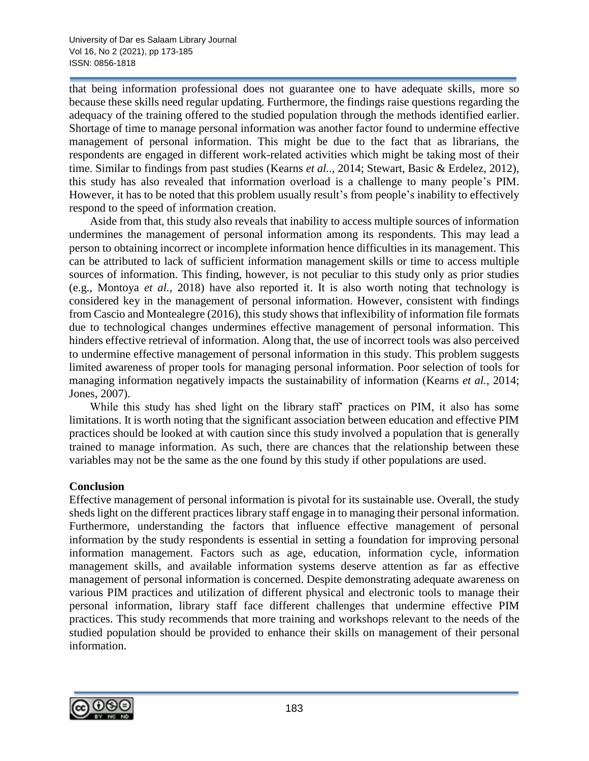that being information professional does not guarantee one to have adequate skills, more so because these skills need regular updating. Furthermore, the findings raise questions regarding the adequacy of the training offered to the studied population through the methods identified earlier. Shortage of time to manage personal information was another factor found to undermine effective management of personal information. This might be due to the fact that as librarians, the respondents are engaged in different work-related activities which might be taking most of their time. Similar to findings from past studies (Kearns *et al..,* 2014; Stewart, Basic & Erdelez, 2012), this study has also revealed that information overload is a challenge to many people's PIM. However, it has to be noted that this problem usually result's from people's inability to effectively respond to the speed of information creation.

Aside from that, this study also reveals that inability to access multiple sources of information undermines the management of personal information among its respondents. This may lead a person to obtaining incorrect or incomplete information hence difficulties in its management. This can be attributed to lack of sufficient information management skills or time to access multiple sources of information. This finding, however, is not peculiar to this study only as prior studies (e.g., Montoya *et al.,* 2018) have also reported it. It is also worth noting that technology is considered key in the management of personal information. However, consistent with findings from Cascio and Montealegre (2016), this study shows that inflexibility of information file formats due to technological changes undermines effective management of personal information. This hinders effective retrieval of information. Along that, the use of incorrect tools was also perceived to undermine effective management of personal information in this study. This problem suggests limited awareness of proper tools for managing personal information. Poor selection of tools for managing information negatively impacts the sustainability of information (Kearns *et al.,* 2014; Jones, 2007).

While this study has shed light on the library staff' practices on PIM, it also has some limitations. It is worth noting that the significant association between education and effective PIM practices should be looked at with caution since this study involved a population that is generally trained to manage information. As such, there are chances that the relationship between these variables may not be the same as the one found by this study if other populations are used.

## **Conclusion**

Effective management of personal information is pivotal for its sustainable use. Overall, the study sheds light on the different practices library staff engage in to managing their personal information. Furthermore, understanding the factors that influence effective management of personal information by the study respondents is essential in setting a foundation for improving personal information management. Factors such as age, education, information cycle, information management skills, and available information systems deserve attention as far as effective management of personal information is concerned. Despite demonstrating adequate awareness on various PIM practices and utilization of different physical and electronic tools to manage their personal information, library staff face different challenges that undermine effective PIM practices. This study recommends that more training and workshops relevant to the needs of the studied population should be provided to enhance their skills on management of their personal information.

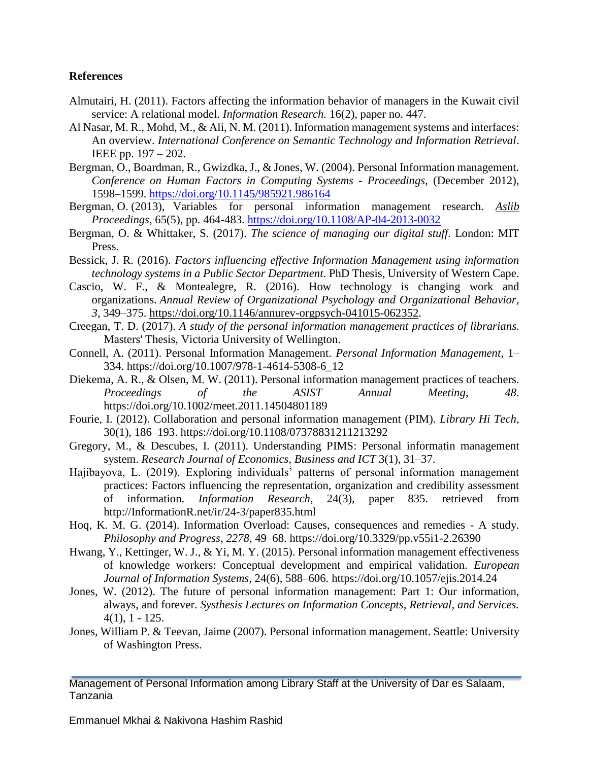#### **References**

- Almutairi, H. (2011). Factors affecting the information behavior of managers in the Kuwait civil service: A relational model. *Information Research.* 16(2), paper no. 447.
- Al Nasar, M. R., Mohd, M., & Ali, N. M. (2011). Information management systems and interfaces: An overview. *International Conference on Semantic Technology and Information Retrieval*. IEEE pp. 197 – 202.
- Bergman, O., Boardman, R., Gwizdka, J., & Jones, W. (2004). Personal Information management. *Conference on Human Factors in Computing Systems - Proceedings*, (December 2012), 1598–1599.<https://doi.org/10.1145/985921.986164>
- Bergman, O. (2013), Variables for personal information management research. *Aslib Proceedings*, 65(5), pp. 464-483.<https://doi.org/10.1108/AP-04-2013-0032>
- Bergman, O. & Whittaker, S. (2017). *The science of managing our digital stuff*. London: MIT Press.
- Bessick, J. R. (2016). *Factors influencing effective Information Management using information technology systems in a Public Sector Department*. PhD Thesis, University of Western Cape.
- Cascio, W. F., & Montealegre, R. (2016). How technology is changing work and organizations. *Annual Review of Organizational Psychology and Organizational Behavior, 3*, 349–375. [https://doi.org/10.1146/annurev-orgpsych-041015-062352.](https://doi.org/10.1146/annurev-orgpsych-041015-062352)
- Creegan, T. D. (2017). *A study of the personal information management practices of librarians.*  Masters' Thesis*,* Victoria University of Wellington.
- Connell, A. (2011). Personal Information Management. *Personal Information Management*, 1– 334. https://doi.org/10.1007/978-1-4614-5308-6\_12
- Diekema, A. R., & Olsen, M. W. (2011). Personal information management practices of teachers. *Proceedings of the ASIST Annual Meeting*, *48*. https://doi.org/10.1002/meet.2011.14504801189
- Fourie, I. (2012). Collaboration and personal information management (PIM). *Library Hi Tech*, 30(1), 186–193. https://doi.org/10.1108/07378831211213292
- Gregory, M., & Descubes, I. (2011). Understanding PIMS: Personal informatin management system. *Research Journal of Economics, Business and ICT* 3(1), 31–37.
- Hajibayova, L. (2019). Exploring individuals' patterns of personal information management practices: Factors influencing the representation, organization and credibility assessment of information. *Information Research*, 24(3), paper 835. retrieved from http://InformationR.net/ir/24-3/paper835.html
- Hoq, K. M. G. (2014). Information Overload: Causes, consequences and remedies A study. *Philosophy and Progress*, *2278*, 49–68. https://doi.org/10.3329/pp.v55i1-2.26390
- Hwang, Y., Kettinger, W. J., & Yi, M. Y. (2015). Personal information management effectiveness of knowledge workers: Conceptual development and empirical validation. *European Journal of Information Systems*, 24(6), 588–606. https://doi.org/10.1057/ejis.2014.24
- Jones, W. (2012). The future of personal information management: Part 1: Our information, always, and forever. *Systhesis Lectures on Information Concepts, Retrieval, and Services.* 4(1), 1 - 125.
- Jones, William P. & Teevan, Jaime (2007). Personal information management. Seattle: University of Washington Press.